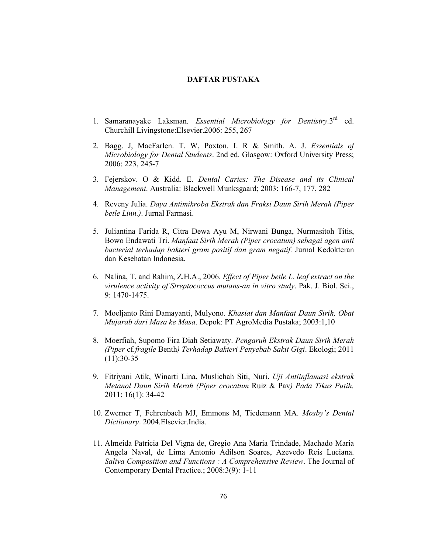## **DAFTAR PUSTAKA**

- 1. Samaranayake Laksman. *Essential Microbiology for Dentistry*.3<sup>rd</sup> ed. Churchill Livingstone:Elsevier.2006: 255, 267
- 2. Bagg. J, MacFarlen. T. W, Poxton. I. R & Smith. A. J. *Essentials of Microbiology for Dental Students*. 2nd ed. Glasgow: Oxford University Press; 2006: 223, 245-7
- 3. Fejerskov. O & Kidd. E. *Dental Caries: The Disease and its Clinical Management*. Australia: Blackwell Munksgaard; 2003: 166-7, 177, 282
- 4. Reveny Julia. *Daya Antimikroba Ekstrak dan Fraksi Daun Sirih Merah (Piper betle Linn.)*. Jurnal Farmasi.
- 5. Juliantina Farida R, Citra Dewa Ayu M, Nirwani Bunga, Nurmasitoh Titis, Bowo Endawati Tri. *Manfaat Sirih Merah (Piper crocatum) sebagai agen anti bacterial terhadap bakteri gram positif dan gram negatif.* Jurnal Kedokteran dan Kesehatan Indonesia.
- 6. Nalina, T. and Rahim, Z.H.A., 2006. *Effect of Piper betle L. leaf extract on the virulence activity of Streptococcus mutans-an in vitro study*. Pak. J. Biol. Sci., 9: 1470-1475.
- 7. Moeljanto Rini Damayanti, Mulyono. *Khasiat dan Manfaat Daun Sirih, Obat Mujarab dari Masa ke Masa*. Depok: PT AgroMedia Pustaka; 2003:1,10
- 8. Moerfiah, Supomo Fira Diah Setiawaty. *Pengaruh Ekstrak Daun Sirih Merah (Piper* cf*.fragile* Benth*) Terhadap Bakteri Penyebab Sakit Gigi*. Ekologi; 2011  $(11):30-35$
- 9. Fitriyani Atik, Winarti Lina, Muslichah Siti, Nuri. *Uji Antiinflamasi ekstrak Metanol Daun Sirih Merah (Piper crocatum* Ruiz & Pav*) Pada Tikus Putih.* 2011: 16(1): 34-42
- 10. Zwerner T, Fehrenbach MJ, Emmons M, Tiedemann MA. *Mosby's Dental Dictionary*. 2004.Elsevier.India.
- 11. Almeida Patricia Del Vigna de, Gregio Ana Maria Trindade, Machado Maria Angela Naval, de Lima Antonio Adilson Soares, Azevedo Reis Luciana. *Saliva Composition and Functions : A Comprehensive Review*. The Journal of Contemporary Dental Practice.; 2008:3(9): 1-11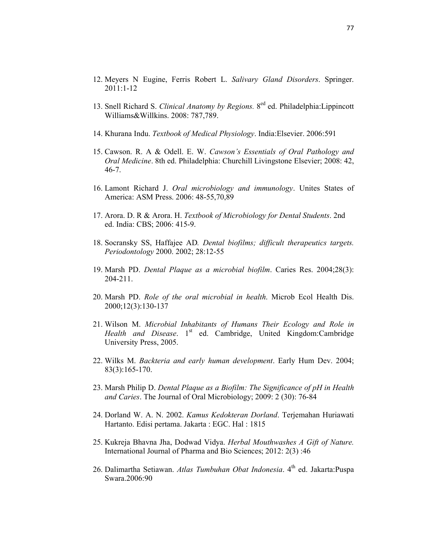- 12. Meyers N Eugine, Ferris Robert L. *Salivary Gland Disorders*. Springer. 2011:1-12
- 13. Snell Richard S. *Clinical Anatomy by Regions.* 8ed ed. Philadelphia:Lippincott Williams&Willkins. 2008: 787,789.
- 14. Khurana Indu. *Textbook of Medical Physiology*. India:Elsevier. 2006:591
- 15. Cawson. R. A & Odell. E. W. *Cawson's Essentials of Oral Pathology and Oral Medicine*. 8th ed. Philadelphia: Churchill Livingstone Elsevier; 2008: 42, 46-7.
- 16. Lamont Richard J. *Oral microbiology and immunology*. Unites States of America: ASM Press. 2006: 48-55,70,89
- 17. Arora. D. R & Arora. H. *Textbook of Microbiology for Dental Students*. 2nd ed. India: CBS; 2006: 415-9.
- 18. Socransky SS, Haffajee AD*. Dental biofilms; difficult therapeutics targets. Periodontology* 2000. 2002; 28:12-55
- 19. Marsh PD. *Dental Plaque as a microbial biofilm*. Caries Res. 2004;28(3): 204-211.
- 20. Marsh PD. *Role of the oral microbial in health*. Microb Ecol Health Dis. 2000;12(3):130-137
- 21. Wilson M. *Microbial Inhabitants of Humans Their Ecology and Role in*  Health and Disease. 1<sup>st</sup> ed. Cambridge, United Kingdom:Cambridge University Press, 2005.
- 22. Wilks M. *Backteria and early human development*. Early Hum Dev. 2004; 83(3):165-170.
- 23. Marsh Philip D. *Dental Plaque as a Biofilm: The Significance of pH in Health and Caries*. The Journal of Oral Microbiology; 2009: 2 (30): 76-84
- 24. Dorland W. A. N. 2002. *Kamus Kedokteran Dorland*. Terjemahan Huriawati Hartanto. Edisi pertama. Jakarta : EGC. Hal : 1815
- 25. Kukreja Bhavna Jha, Dodwad Vidya. *Herbal Mouthwashes A Gift of Nature.* International Journal of Pharma and Bio Sciences; 2012: 2(3) :46
- 26. Dalimartha Setiawan. *Atlas Tumbuhan Obat Indonesia*. 4<sup>th</sup> ed. Jakarta:Puspa Swara.2006:90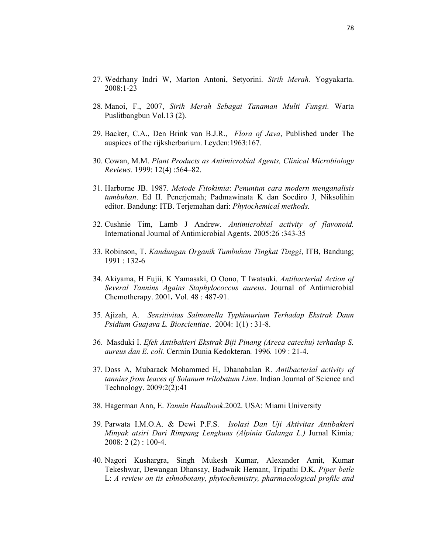- 27. Wedrhany Indri W, Marton Antoni, Setyorini. *Sirih Merah.* Yogyakarta. 2008:1-23
- 28. Manoi, F., 2007, *Sirih Merah Sebagai Tanaman Multi Fungsi.* Warta Puslitbangbun Vol.13 (2).
- 29. Backer, C.A., Den Brink van B.J.R., *Flora of Java*, Published under The auspices of the rijksherbarium. Leyden:1963:167.
- 30. Cowan, M.M. *Plant Products as Antimicrobial Agents, Clinical Microbiology Reviews.* 1999: 12(4) :564–82.
- 31. Harborne JB. 1987. *Metode Fitokimia*: *Penuntun cara modern menganalisis tumbuhan*. Ed II. Penerjemah; Padmawinata K dan Soediro J, Niksolihin editor. Bandung: ITB. Terjemahan dari: *Phytochemical methods.*
- 32. Cushnie Tim, Lamb J Andrew. *Antimicrobial activity of flavonoid.* International Journal of Antimicrobial Agents. 2005:26 :343-35
- 33. Robinson, T. *Kandungan Organik Tumbuhan Tingkat Tinggi*, ITB, Bandung; 1991 : 132-6
- 34. Akiyama, H Fujii, K Yamasaki, O Oono, T Iwatsuki. *Antibacterial Action of Several Tannins Agains Staphylococcus aureus*. Journal of Antimicrobial Chemotherapy. 2001*.* Vol. 48 : 487-91.
- 35. Ajizah, A. *Sensitivitas Salmonella Typhimurium Terhadap Ekstrak Daun Psidium Guajava L. Bioscientiae*. 2004: 1(1) : 31-8.
- 36. Masduki I. *Efek Antibakteri Ekstrak Biji Pinang (Areca catechu) terhadap S. aureus dan E. coli.* Cermin Dunia Kedokteran*.* 1996*.* 109 : 21-4.
- 37. Doss A, Mubarack Mohammed H, Dhanabalan R. *Antibacterial activity of tannins from leaces of Solanum trilobatum Linn*. Indian Journal of Science and Technology. 2009:2(2):41
- 38. Hagerman Ann, E. *Tannin Handbook*.2002. USA: Miami University
- 39. Parwata I.M.O.A. & Dewi P.F.S. *Isolasi Dan Uji Aktivitas Antibakteri Minyak atsiri Dari Rimpang Lengkuas (Alpinia Galanga L.)* Jurnal Kimia*;*  2008: 2 (2) : 100-4.
- 40. Nagori Kushargra, Singh Mukesh Kumar, Alexander Amit, Kumar Tekeshwar, Dewangan Dhansay, Badwaik Hemant, Tripathi D.K. *Piper betle*  L: *A review on tis ethnobotany, phytochemistry, pharmacological profile and*